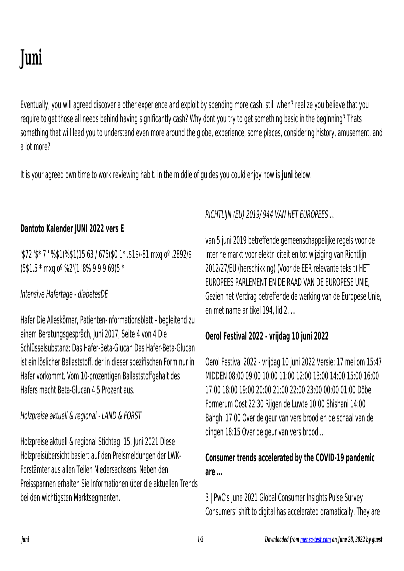# **Juni**

Eventually, you will agreed discover a other experience and exploit by spending more cash. still when? realize you believe that you require to get those all needs behind having significantly cash? Why dont you try to get something basic in the beginning? Thats something that will lead you to understand even more around the globe, experience, some places, considering history, amusement, and a lot more?

It is your agreed own time to work reviewing habit. in the middle of guides you could enjoy now is **juni** below.

## **Dantoto Kalender JUNI 2022 vers E**

'\$72 '\$\* 7 ' %\$1(%\$1(15 63 / 675(\$0 1\* .\$1\$/-81 mxq oº .2892/\$ )5\$1.5 \* mxq oº %2'(1 '8% 9 9 9 69(5 \*

#### Intensive Hafertage - diabetesDE

Hafer Die Alleskörner, Patienten-Informationsblatt – begleitend zu einem Beratungsgespräch, Juni 2017, Seite 4 von 4 Die Schlüsselsubstanz: Das Hafer-Beta-Glucan Das Hafer-Beta-Glucan ist ein löslicher Ballaststoff, der in dieser spezifischen Form nur in Hafer vorkommt. Vom 10-prozentigen Ballaststoffgehalt des Hafers macht Beta-Glucan 4,5 Prozent aus.

Holzpreise aktuell & regional - LAND & FORST

Holzpreise aktuell & regional Stichtag: 15. Juni 2021 Diese Holzpreisübersicht basiert auf den Preismeldungen der LWK-Forstämter aus allen Teilen Niedersachsens. Neben den Preisspannen erhalten Sie Informationen über die aktuellen Trends bei den wichtigsten Marktsegmenten.

RICHTLIJN (EU) 2019/ 944 VAN HET EUROPEES …

van 5 juni 2019 betreffende gemeenschappelijke regels voor de inter ne markt voor elektr iciteit en tot wijziging van Richtlijn 2012/27/EU (herschikking) (Voor de EER relevante teks t) HET EUROPEES PARLEMENT EN DE RAAD VAN DE EUROPESE UNIE, Gezien het Verdrag betreffende de werking van de Europese Unie, en met name ar tikel 194, lid 2, ...

## **Oerol Festival 2022 - vrijdag 10 juni 2022**

Oerol Festival 2022 - vrijdag 10 juni 2022 Versie: 17 mei om 15:47 MIDDEN 08:00 09:00 10:00 11:00 12:00 13:00 14:00 15:00 16:00 17:00 18:00 19:00 20:00 21:00 22:00 23:00 00:00 01:00 Dôbe Formerum Oost 22:30 Rijgen de Luwte 10:00 Shishani 14:00 Bahghi 17:00 Over de geur van vers brood en de schaal van de dingen 18:15 Over de geur van vers brood ...

## **Consumer trends accelerated by the COVID-19 pandemic are …**

3 | PwC's June 2021 Global Consumer Insights Pulse Survey Consumers' shift to digital has accelerated dramatically. They are